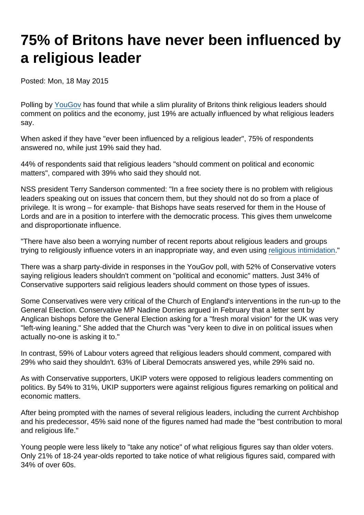## 75% of Britons have never been influenced by a religious leader

Posted: Mon, 18 May 2015

Polling by [YouGov](https://d25d2506sfb94s.cloudfront.net/cumulus_uploads/document/ktmkf5g7qy/TheTablet_Results_150401_religious_leaders_Website.pdf) has found that while a slim plurality of Britons think religious leaders should comment on politics and the economy, just 19% are actually influenced by what religious leaders say.

When asked if they have "ever been influenced by a religious leader", 75% of respondents answered no, while just 19% said they had.

44% of respondents said that religious leaders "should comment on political and economic matters", compared with 39% who said they should not.

NSS president Terry Sanderson commented: "In a free society there is no problem with religious leaders speaking out on issues that concern them, but they should not do so from a place of privilege. It is wrong – for example- that Bishops have seats reserved for them in the House of Lords and are in a position to interfere with the democratic process. This gives them unwelcome and disproportionate influence.

"There have also been a worrying number of recent reports about religious leaders and groups trying to religiously influence voters in an inappropriate way, and even using [religious intimidation](https://www.secularism.org.uk/news/2015/05/mp-warns-of-religions-intimidation-of-muslim-voters)."

There was a sharp party-divide in responses in the YouGov poll, with 52% of Conservative voters saying religious leaders shouldn't comment on "political and economic" matters. Just 34% of Conservative supporters said religious leaders should comment on those types of issues.

Some Conservatives were very critical of the Church of England's interventions in the run-up to the General Election. Conservative MP Nadine Dorries argued in February that a letter sent by Anglican bishops before the General Election asking for a "fresh moral vision" for the UK was very "left-wing leaning." She added that the Church was "very keen to dive in on political issues when actually no-one is asking it to."

In contrast, 59% of Labour voters agreed that religious leaders should comment, compared with 29% who said they shouldn't. 63% of Liberal Democrats answered yes, while 29% said no.

As with Conservative supporters, UKIP voters were opposed to religious leaders commenting on politics. By 54% to 31%, UKIP supporters were against religious figures remarking on political and economic matters.

After being prompted with the names of several religious leaders, including the current Archbishop and his predecessor, 45% said none of the figures named had made the "best contribution to moral and religious life."

Young people were less likely to "take any notice" of what religious figures say than older voters. Only 21% of 18-24 year-olds reported to take notice of what religious figures said, compared with 34% of over 60s.